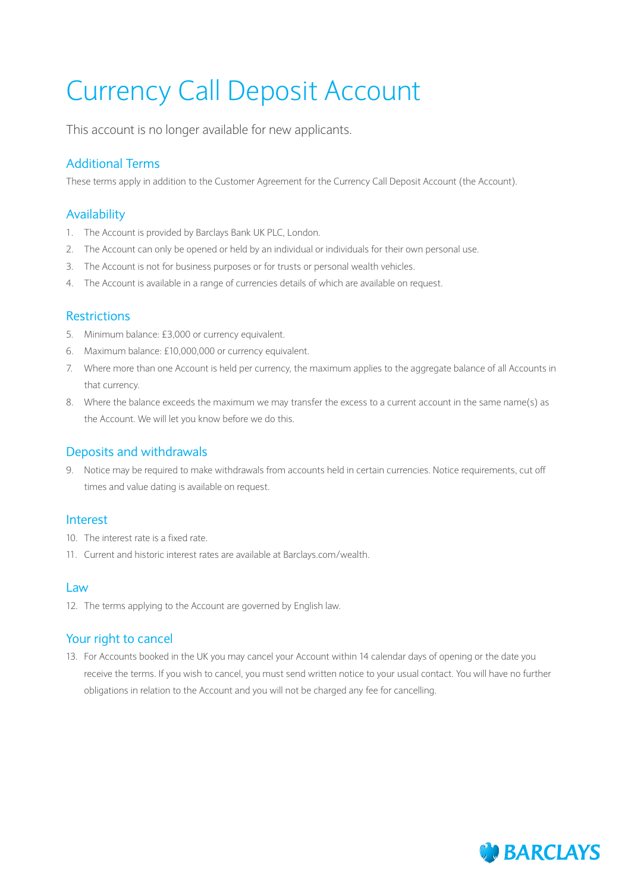# Currency Call Deposit Account

This account is no longer available for new applicants.

# Additional Terms

These terms apply in addition to the Customer Agreement for the Currency Call Deposit Account (the Account).

## Availability

- 1. The Account is provided by Barclays Bank UK PLC, London.
- 2. The Account can only be opened or held by an individual or individuals for their own personal use.
- 3. The Account is not for business purposes or for trusts or personal wealth vehicles.
- 4. The Account is available in a range of currencies details of which are available on request.

#### **Restrictions**

- 5. Minimum balance: £3,000 or currency equivalent.
- 6. Maximum balance: £10,000,000 or currency equivalent.
- 7. Where more than one Account is held per currency, the maximum applies to the aggregate balance of all Accounts in that currency.
- 8. Where the balance exceeds the maximum we may transfer the excess to a current account in the same name(s) as the Account. We will let you know before we do this.

# Deposits and withdrawals

9. Notice may be required to make withdrawals from accounts held in certain currencies. Notice requirements, cut off times and value dating is available on request.

#### Interest

- 10. The interest rate is a fixed rate.
- 11. Current and historic interest rates are available at Barclays.com/wealth.

#### Law

12. The terms applying to the Account are governed by English law.

## Your right to cancel

13. For Accounts booked in the UK you may cancel your Account within 14 calendar days of opening or the date you receive the terms. If you wish to cancel, you must send written notice to your usual contact. You will have no further obligations in relation to the Account and you will not be charged any fee for cancelling.